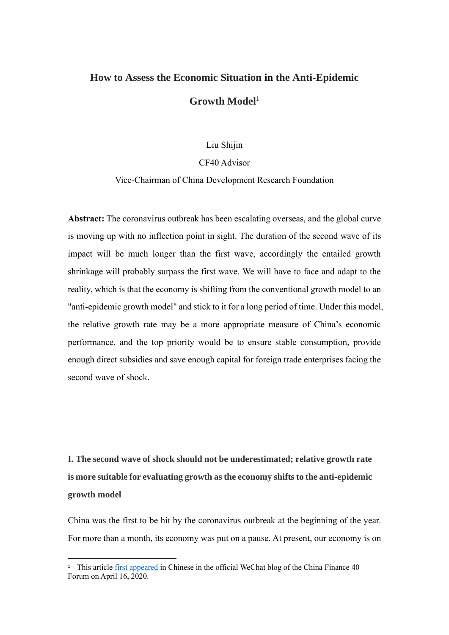## **How to Assess the Economic Situation in the Anti-Epidemic**  Growth Model<sup>1</sup>

Liu Shijin

## CF40 Advisor

## Vice-Chairman of China Development Research Foundation

**Abstract:** The coronavirus outbreak has been escalating overseas, and the global curve is moving up with no inflection point in sight. The duration of the second wave of its impact will be much longer than the first wave, accordingly the entailed growth shrinkage will probably surpass the first wave. We will have to face and adapt to the reality, which is that the economy is shifting from the conventional growth model to an "anti-epidemic growth model" and stick to it for a long period of time. Under this model, the relative growth rate may be a more appropriate measure of China's economic performance, and the top priority would be to ensure stable consumption, provide enough direct subsidies and save enough capital for foreign trade enterprises facing the second wave of shock.

**Ⅰ. The second wave of shock should not be underestimated; relative growth rate is more suitable for evaluating growth as the economy shifts to the anti-epidemic growth model**

China was the first to be hit by the coronavirus outbreak at the beginning of the year. For more than a month, its economy was put on a pause. At present, our economy is on

<sup>&</sup>lt;sup>1</sup> This article *first appeared* in Chinese in the official WeChat blog of the China Finance 40 Forum on April 16, 2020.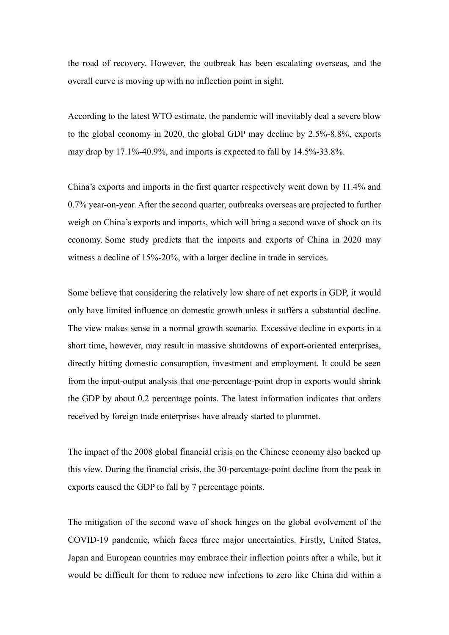the road of recovery. However, the outbreak has been escalating overseas, and the overall curve is moving up with no inflection point in sight.

According to the latest WTO estimate, the pandemic will inevitably deal a severe blow to the global economy in 2020, the global GDP may decline by 2.5%-8.8%, exports may drop by 17.1%-40.9%, and imports is expected to fall by 14.5%-33.8%.

China's exports and imports in the first quarter respectively went down by 11.4% and 0.7% year-on-year. After the second quarter, outbreaks overseas are projected to further weigh on China's exports and imports, which will bring a second wave of shock on its economy. Some study predicts that the imports and exports of China in 2020 may witness a decline of 15%-20%, with a larger decline in trade in services.

Some believe that considering the relatively low share of net exports in GDP, it would only have limited influence on domestic growth unless it suffers a substantial decline. The view makes sense in a normal growth scenario. Excessive decline in exports in a short time, however, may result in massive shutdowns of export-oriented enterprises, directly hitting domestic consumption, investment and employment. It could be seen from the input-output analysis that one-percentage-point drop in exports would shrink the GDP by about 0.2 percentage points. The latest information indicates that orders received by foreign trade enterprises have already started to plummet.

The impact of the 2008 global financial crisis on the Chinese economy also backed up this view. During the financial crisis, the 30-percentage-point decline from the peak in exports caused the GDP to fall by 7 percentage points.

The mitigation of the second wave of shock hinges on the global evolvement of the COVID-19 pandemic, which faces three major uncertainties. Firstly, United States, Japan and European countries may embrace their inflection points after a while, but it would be difficult for them to reduce new infections to zero like China did within a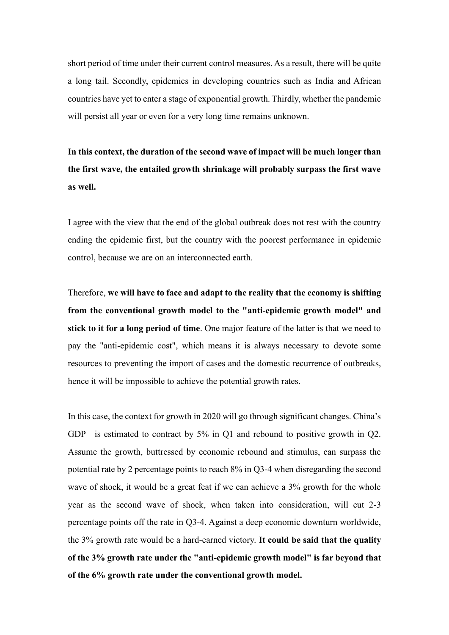short period of time under their current control measures. As a result, there will be quite a long tail. Secondly, epidemics in developing countries such as India and African countries have yet to enter a stage of exponential growth. Thirdly, whether the pandemic will persist all year or even for a very long time remains unknown.

**In this context, the duration of the second wave of impact will be much longer than the first wave, the entailed growth shrinkage will probably surpass the first wave as well.** 

I agree with the view that the end of the global outbreak does not rest with the country ending the epidemic first, but the country with the poorest performance in epidemic control, because we are on an interconnected earth.

Therefore, **we will have to face and adapt to the reality that the economy is shifting from the conventional growth model to the "anti-epidemic growth model" and stick to it for a long period of time**. One major feature of the latter is that we need to pay the "anti-epidemic cost", which means it is always necessary to devote some resources to preventing the import of cases and the domestic recurrence of outbreaks, hence it will be impossible to achieve the potential growth rates.

In this case, the context for growth in 2020 will go through significant changes. China's GDP is estimated to contract by 5% in Q1 and rebound to positive growth in Q2. Assume the growth, buttressed by economic rebound and stimulus, can surpass the potential rate by 2 percentage points to reach 8% in Q3-4 when disregarding the second wave of shock, it would be a great feat if we can achieve a 3% growth for the whole year as the second wave of shock, when taken into consideration, will cut 2-3 percentage points off the rate in Q3-4. Against a deep economic downturn worldwide, the 3% growth rate would be a hard-earned victory. **It could be said that the quality of the 3% growth rate under the "anti-epidemic growth model" is far beyond that of the 6% growth rate under the conventional growth model.**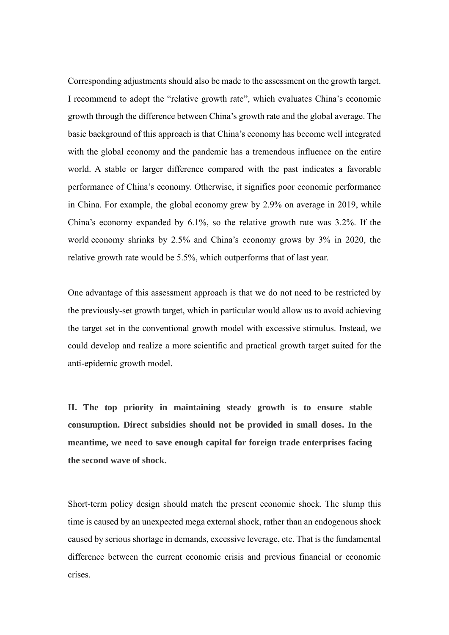Corresponding adjustments should also be made to the assessment on the growth target. I recommend to adopt the "relative growth rate", which evaluates China's economic growth through the difference between China's growth rate and the global average. The basic background of this approach is that China's economy has become well integrated with the global economy and the pandemic has a tremendous influence on the entire world. A stable or larger difference compared with the past indicates a favorable performance of China's economy. Otherwise, it signifies poor economic performance in China. For example, the global economy grew by 2.9% on average in 2019, while China's economy expanded by 6.1%, so the relative growth rate was 3.2%. If the world economy shrinks by 2.5% and China's economy grows by 3% in 2020, the relative growth rate would be 5.5%, which outperforms that of last year.

One advantage of this assessment approach is that we do not need to be restricted by the previously-set growth target, which in particular would allow us to avoid achieving the target set in the conventional growth model with excessive stimulus. Instead, we could develop and realize a more scientific and practical growth target suited for the anti-epidemic growth model.

**Ⅱ. The top priority in maintaining steady growth is to ensure stable consumption. Direct subsidies should not be provided in small doses. In the meantime, we need to save enough capital for foreign trade enterprises facing the second wave of shock.**

Short-term policy design should match the present economic shock. The slump this time is caused by an unexpected mega external shock, rather than an endogenous shock caused by serious shortage in demands, excessive leverage, etc. That is the fundamental difference between the current economic crisis and previous financial or economic crises.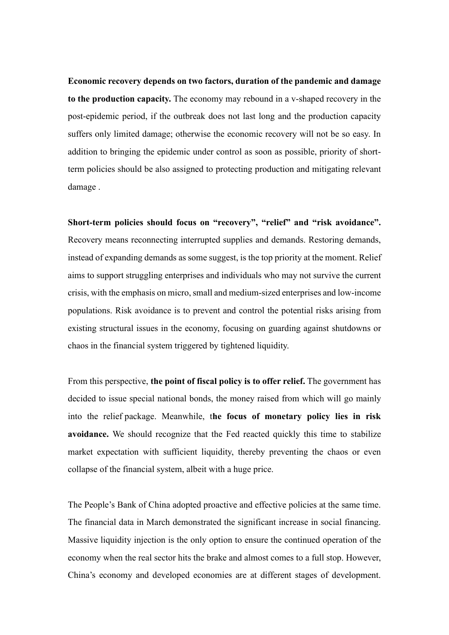**Economic recovery depends on two factors, duration of the pandemic and damage to the production capacity.** The economy may rebound in a v-shaped recovery in the post-epidemic period, if the outbreak does not last long and the production capacity suffers only limited damage; otherwise the economic recovery will not be so easy. In addition to bringing the epidemic under control as soon as possible, priority of shortterm policies should be also assigned to protecting production and mitigating relevant damage .

**Short-term policies should focus on "recovery", "relief" and "risk avoidance".**  Recovery means reconnecting interrupted supplies and demands. Restoring demands, instead of expanding demands as some suggest, is the top priority at the moment. Relief aims to support struggling enterprises and individuals who may not survive the current crisis, with the emphasis on micro, small and medium-sized enterprises and low-income populations. Risk avoidance is to prevent and control the potential risks arising from existing structural issues in the economy, focusing on guarding against shutdowns or chaos in the financial system triggered by tightened liquidity.

From this perspective, **the point of fiscal policy is to offer relief.** The government has decided to issue special national bonds, the money raised from which will go mainly into the relief package. Meanwhile, t**he focus of monetary policy lies in risk avoidance.** We should recognize that the Fed reacted quickly this time to stabilize market expectation with sufficient liquidity, thereby preventing the chaos or even collapse of the financial system, albeit with a huge price.

The People's Bank of China adopted proactive and effective policies at the same time. The financial data in March demonstrated the significant increase in social financing. Massive liquidity injection is the only option to ensure the continued operation of the economy when the real sector hits the brake and almost comes to a full stop. However, China's economy and developed economies are at different stages of development.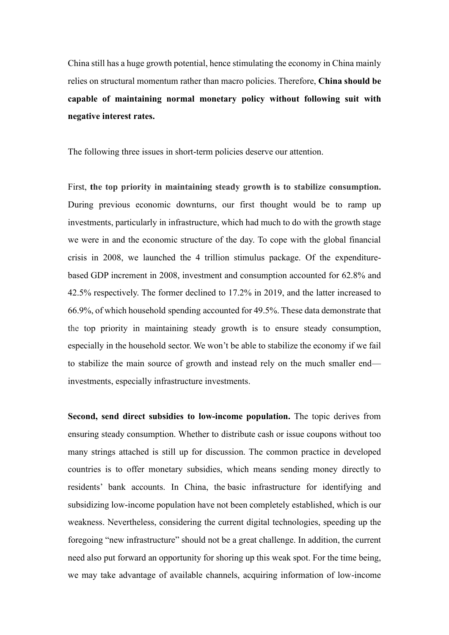China still has a huge growth potential, hence stimulating the economy in China mainly relies on structural momentum rather than macro policies. Therefore, **China should be capable of maintaining normal monetary policy without following suit with negative interest rates.**

The following three issues in short-term policies deserve our attention.

First, **the top priority in maintaining steady growth is to stabilize consumption.** During previous economic downturns, our first thought would be to ramp up investments, particularly in infrastructure, which had much to do with the growth stage we were in and the economic structure of the day. To cope with the global financial crisis in 2008, we launched the 4 trillion stimulus package. Of the expenditurebased GDP increment in 2008, investment and consumption accounted for 62.8% and 42.5% respectively. The former declined to 17.2% in 2019, and the latter increased to 66.9%, of which household spending accounted for 49.5%. These data demonstrate that the top priority in maintaining steady growth is to ensure steady consumption, especially in the household sector. We won't be able to stabilize the economy if we fail to stabilize the main source of growth and instead rely on the much smaller end investments, especially infrastructure investments.

**Second, send direct subsidies to low-income population.** The topic derives from ensuring steady consumption. Whether to distribute cash or issue coupons without too many strings attached is still up for discussion. The common practice in developed countries is to offer monetary subsidies, which means sending money directly to residents' bank accounts. In China, the basic infrastructure for identifying and subsidizing low-income population have not been completely established, which is our weakness. Nevertheless, considering the current digital technologies, speeding up the foregoing "new infrastructure" should not be a great challenge. In addition, the current need also put forward an opportunity for shoring up this weak spot. For the time being, we may take advantage of available channels, acquiring information of low-income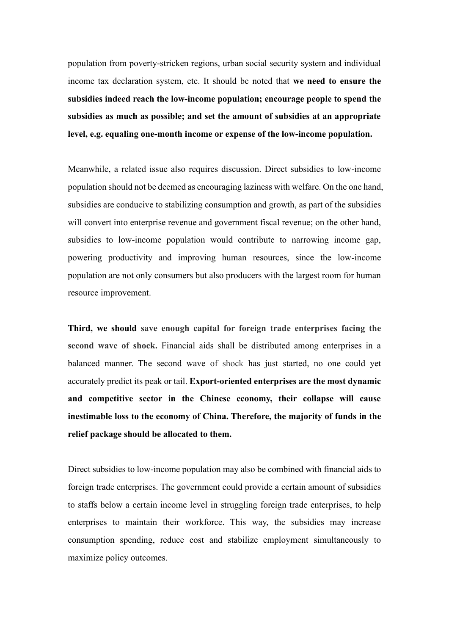population from poverty-stricken regions, urban social security system and individual income tax declaration system, etc. It should be noted that **we need to ensure the subsidies indeed reach the low-income population; encourage people to spend the subsidies as much as possible; and set the amount of subsidies at an appropriate level, e.g. equaling one-month income or expense of the low-income population.**

Meanwhile, a related issue also requires discussion. Direct subsidies to low-income population should not be deemed as encouraging laziness with welfare. On the one hand, subsidies are conducive to stabilizing consumption and growth, as part of the subsidies will convert into enterprise revenue and government fiscal revenue; on the other hand, subsidies to low-income population would contribute to narrowing income gap, powering productivity and improving human resources, since the low-income population are not only consumers but also producers with the largest room for human resource improvement.

**Third, we should save enough capital for foreign trade enterprises facing the second wave of shock.** Financial aids shall be distributed among enterprises in a balanced manner. The second wave of shock has just started, no one could yet accurately predict its peak or tail. **Export-oriented enterprises are the most dynamic and competitive sector in the Chinese economy, their collapse will cause inestimable loss to the economy of China. Therefore, the majority of funds in the relief package should be allocated to them.**

Direct subsidies to low-income population may also be combined with financial aids to foreign trade enterprises. The government could provide a certain amount of subsidies to staffs below a certain income level in struggling foreign trade enterprises, to help enterprises to maintain their workforce. This way, the subsidies may increase consumption spending, reduce cost and stabilize employment simultaneously to maximize policy outcomes.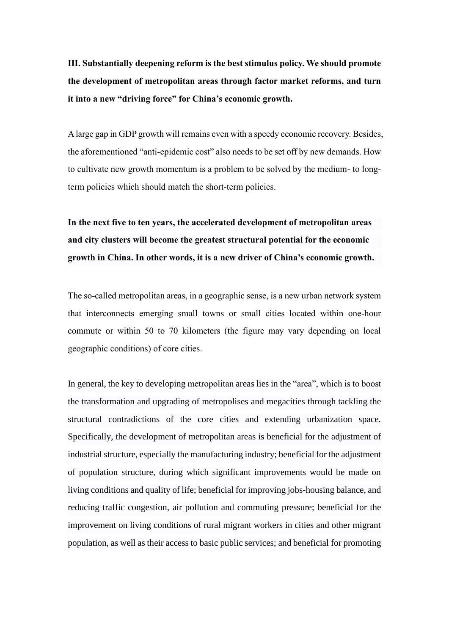**Ⅲ. Substantially deepening reform is the best stimulus policy. We should promote the development of metropolitan areas through factor market reforms, and turn it into a new "driving force" for China's economic growth.**

A large gap in GDP growth will remains even with a speedy economic recovery. Besides, the aforementioned "anti-epidemic cost" also needs to be set off by new demands. How to cultivate new growth momentum is a problem to be solved by the medium- to longterm policies which should match the short-term policies.

**In the next five to ten years, the accelerated development of metropolitan areas and city clusters will become the greatest structural potential for the economic growth in China. In other words, it is a new driver of China's economic growth.**

The so-called metropolitan areas, in a geographic sense, is a new urban network system that interconnects emerging small towns or small cities located within one-hour commute or within 50 to 70 kilometers (the figure may vary depending on local geographic conditions) of core cities.

In general, the key to developing metropolitan areas lies in the "area", which is to boost the transformation and upgrading of metropolises and megacities through tackling the structural contradictions of the core cities and extending urbanization space. Specifically, the development of metropolitan areas is beneficial for the adjustment of industrial structure, especially the manufacturing industry; beneficial for the adjustment of population structure, during which significant improvements would be made on living conditions and quality of life; beneficial for improving jobs-housing balance, and reducing traffic congestion, air pollution and commuting pressure; beneficial for the improvement on living conditions of rural migrant workers in cities and other migrant population, as well as their access to basic public services; and beneficial for promoting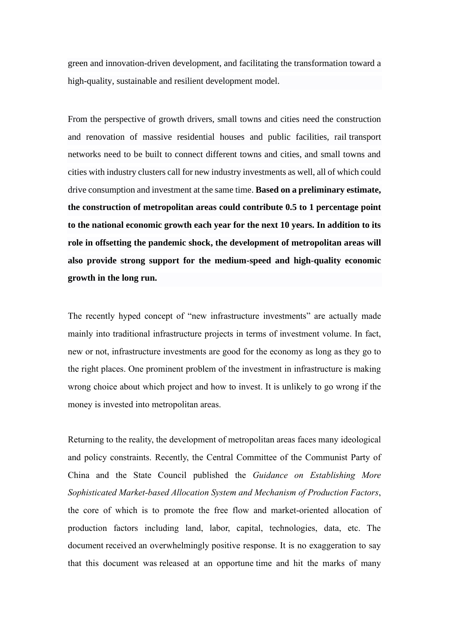green and innovation-driven development, and facilitating the transformation toward a high-quality, sustainable and resilient development model.

From the perspective of growth drivers, small towns and cities need the construction and renovation of massive residential houses and public facilities, rail transport networks need to be built to connect different towns and cities, and small towns and cities with industry clusters call for new industry investments as well, all of which could drive consumption and investment at the same time. **Based on a preliminary estimate, the construction of metropolitan areas could contribute 0.5 to 1 percentage point to the national economic growth each year for the next 10 years. In addition to its role in offsetting the pandemic shock, the development of metropolitan areas will also provide strong support for the medium-speed and high-quality economic growth in the long run.**

The recently hyped concept of "new infrastructure investments" are actually made mainly into traditional infrastructure projects in terms of investment volume. In fact, new or not, infrastructure investments are good for the economy as long as they go to the right places. One prominent problem of the investment in infrastructure is making wrong choice about which project and how to invest. It is unlikely to go wrong if the money is invested into metropolitan areas.

Returning to the reality, the development of metropolitan areas faces many ideological and policy constraints. Recently, the Central Committee of the Communist Party of China and the State Council published the *Guidance on Establishing More Sophisticated Market-based Allocation System and Mechanism of Production Factors*, the core of which is to promote the free flow and market-oriented allocation of production factors including land, labor, capital, technologies, data, etc. The document received an overwhelmingly positive response. It is no exaggeration to say that this document was released at an opportune time and hit the marks of many